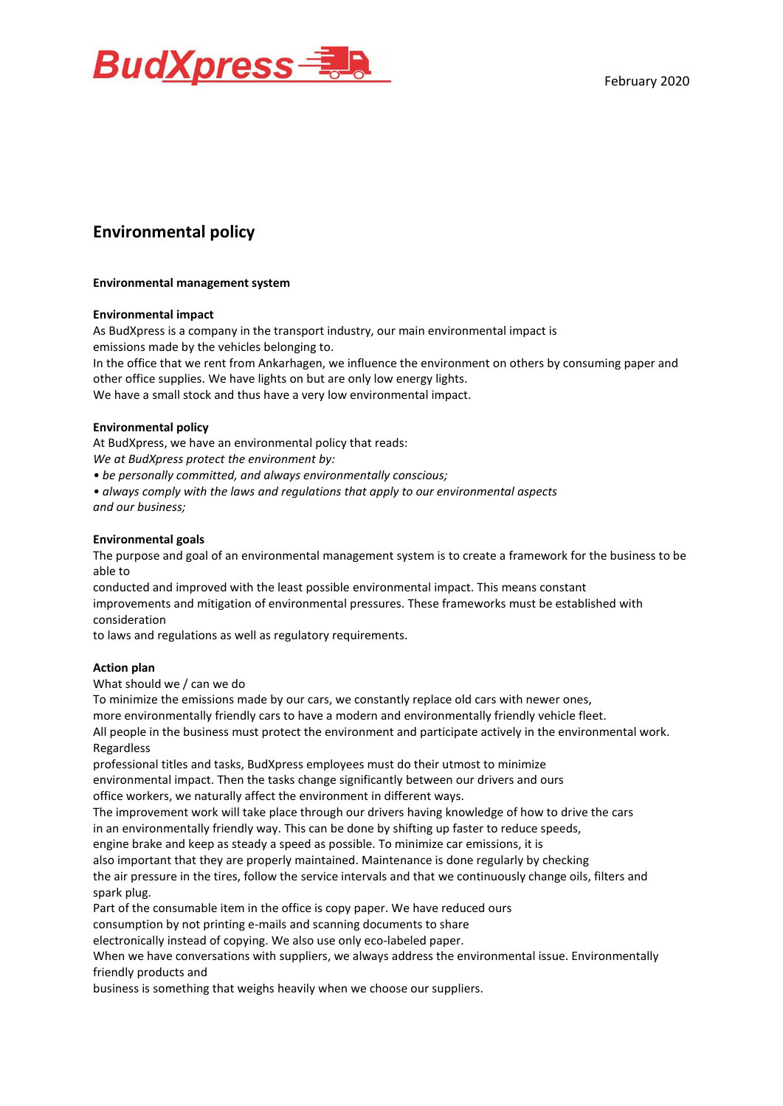



# **Environmental policy**

## **Environmental management system**

#### **Environmental impact**

As BudXpress is a company in the transport industry, our main environmental impact is emissions made by the vehicles belonging to.

In the office that we rent from Ankarhagen, we influence the environment on others by consuming paper and other office supplies. We have lights on but are only low energy lights.

We have a small stock and thus have a very low environmental impact.

#### **Environmental policy**

At BudXpress, we have an environmental policy that reads:

*We at BudXpress protect the environment by:*

*• be personally committed, and always environmentally conscious;*

*• always comply with the laws and regulations that apply to our environmental aspects and our business;*

#### **Environmental goals**

The purpose and goal of an environmental management system is to create a framework for the business to be able to

conducted and improved with the least possible environmental impact. This means constant improvements and mitigation of environmental pressures. These frameworks must be established with consideration

to laws and regulations as well as regulatory requirements.

#### **Action plan**

What should we / can we do

To minimize the emissions made by our cars, we constantly replace old cars with newer ones,

more environmentally friendly cars to have a modern and environmentally friendly vehicle fleet.

All people in the business must protect the environment and participate actively in the environmental work. Regardless

professional titles and tasks, BudXpress employees must do their utmost to minimize environmental impact. Then the tasks change significantly between our drivers and ours office workers, we naturally affect the environment in different ways.

The improvement work will take place through our drivers having knowledge of how to drive the cars in an environmentally friendly way. This can be done by shifting up faster to reduce speeds, engine brake and keep as steady a speed as possible. To minimize car emissions, it is

also important that they are properly maintained. Maintenance is done regularly by checking

the air pressure in the tires, follow the service intervals and that we continuously change oils, filters and

spark plug.

Part of the consumable item in the office is copy paper. We have reduced ours

consumption by not printing e-mails and scanning documents to share

electronically instead of copying. We also use only eco-labeled paper.

When we have conversations with suppliers, we always address the environmental issue. Environmentally friendly products and

business is something that weighs heavily when we choose our suppliers.